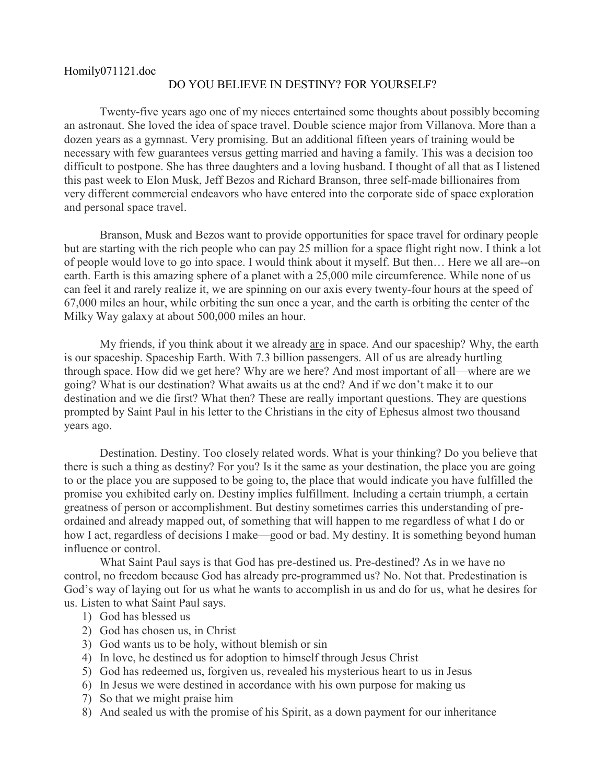## Homily071121.doc DO YOU BELIEVE IN DESTINY? FOR YOURSELF?

Twenty-five years ago one of my nieces entertained some thoughts about possibly becoming an astronaut. She loved the idea of space travel. Double science major from Villanova. More than a dozen years as a gymnast. Very promising. But an additional fifteen years of training would be necessary with few guarantees versus getting married and having a family. This was a decision too difficult to postpone. She has three daughters and a loving husband. I thought of all that as I listened this past week to Elon Musk, Jeff Bezos and Richard Branson, three self-made billionaires from very different commercial endeavors who have entered into the corporate side of space exploration and personal space travel.

Branson, Musk and Bezos want to provide opportunities for space travel for ordinary people but are starting with the rich people who can pay 25 million for a space flight right now. I think a lot of people would love to go into space. I would think about it myself. But then… Here we all are--on earth. Earth is this amazing sphere of a planet with a 25,000 mile circumference. While none of us can feel it and rarely realize it, we are spinning on our axis every twenty-four hours at the speed of 67,000 miles an hour, while orbiting the sun once a year, and the earth is orbiting the center of the Milky Way galaxy at about 500,000 miles an hour.

My friends, if you think about it we already are in space. And our spaceship? Why, the earth is our spaceship. Spaceship Earth. With 7.3 billion passengers. All of us are already hurtling through space. How did we get here? Why are we here? And most important of all—where are we going? What is our destination? What awaits us at the end? And if we don't make it to our destination and we die first? What then? These are really important questions. They are questions prompted by Saint Paul in his letter to the Christians in the city of Ephesus almost two thousand years ago.

Destination. Destiny. Too closely related words. What is your thinking? Do you believe that there is such a thing as destiny? For you? Is it the same as your destination, the place you are going to or the place you are supposed to be going to, the place that would indicate you have fulfilled the promise you exhibited early on. Destiny implies fulfillment. Including a certain triumph, a certain greatness of person or accomplishment. But destiny sometimes carries this understanding of preordained and already mapped out, of something that will happen to me regardless of what I do or how I act, regardless of decisions I make—good or bad. My destiny. It is something beyond human influence or control.

What Saint Paul says is that God has pre-destined us. Pre-destined? As in we have no control, no freedom because God has already pre-programmed us? No. Not that. Predestination is God's way of laying out for us what he wants to accomplish in us and do for us, what he desires for us. Listen to what Saint Paul says.

- 1) God has blessed us
- 2) God has chosen us, in Christ
- 3) God wants us to be holy, without blemish or sin
- 4) In love, he destined us for adoption to himself through Jesus Christ
- 5) God has redeemed us, forgiven us, revealed his mysterious heart to us in Jesus
- 6) In Jesus we were destined in accordance with his own purpose for making us
- 7) So that we might praise him
- 8) And sealed us with the promise of his Spirit, as a down payment for our inheritance